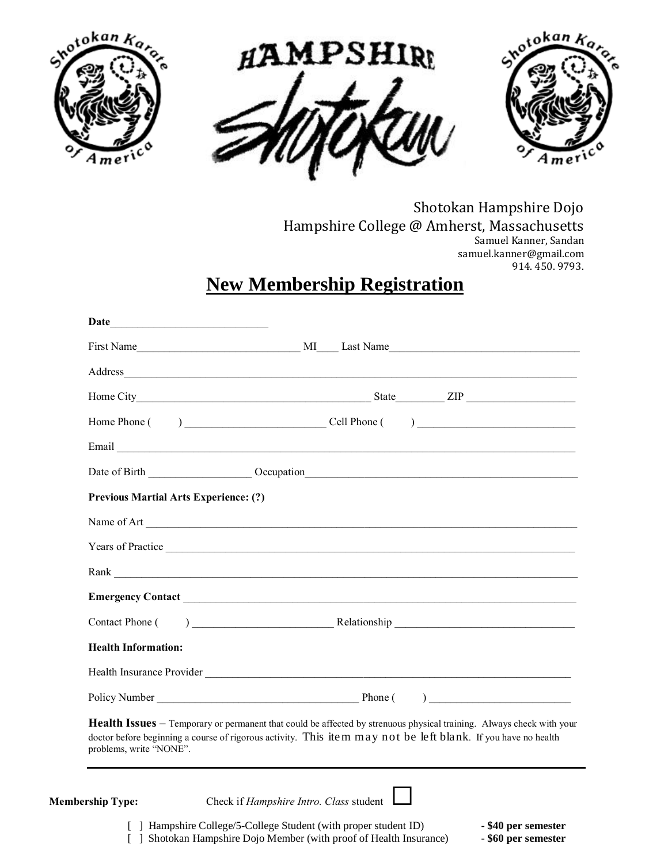





Shotokan Hampshire Dojo Hampshire College @ Amherst, Massachusetts Samuel Kanner, Sandan samuel.kanner@gmail.com 914. 450. 9793.

## **New Membership Registration**

|                                              | Date of Birth Cocupation Cocupation                                                                                                                                                                                                          |
|----------------------------------------------|----------------------------------------------------------------------------------------------------------------------------------------------------------------------------------------------------------------------------------------------|
| <b>Previous Martial Arts Experience: (?)</b> |                                                                                                                                                                                                                                              |
|                                              |                                                                                                                                                                                                                                              |
|                                              |                                                                                                                                                                                                                                              |
|                                              |                                                                                                                                                                                                                                              |
|                                              |                                                                                                                                                                                                                                              |
| Contact Phone (                              | $P$ Relationship                                                                                                                                                                                                                             |
| <b>Health Information:</b>                   |                                                                                                                                                                                                                                              |
|                                              |                                                                                                                                                                                                                                              |
|                                              | Policy Number Phone ( )                                                                                                                                                                                                                      |
| problems, write "NONE".                      | <b>Health Issues</b> – Temporary or permanent that could be affected by strenuous physical training. Always check with your<br>doctor before beginning a course of rigorous activity. This item may not be left blank. If you have no health |
|                                              |                                                                                                                                                                                                                                              |
| <b>Membership Type:</b>                      | Check if Hampshire Intro. Class student                                                                                                                                                                                                      |
|                                              | [ ] Hampshire College/5-College Student (with proper student ID)<br>- \$40 per semester                                                                                                                                                      |